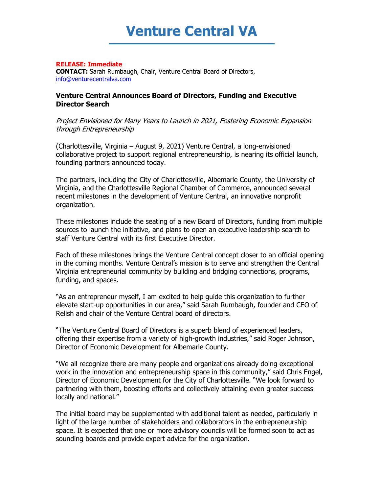

## **RELEASE: Immediate**

**CONTACT:** Sarah Rumbaugh, Chair, Venture Central Board of Directors, [info@venturecentralva.com](mailto:info@venturecentralva.com)

## **Venture Central Announces Board of Directors, Funding and Executive Director Search**

Project Envisioned for Many Years to Launch in 2021, Fostering Economic Expansion through Entrepreneurship

(Charlottesville, Virginia – August 9, 2021) Venture Central, a long-envisioned collaborative project to support regional entrepreneurship, is nearing its official launch, founding partners announced today.

The partners, including the City of Charlottesville, Albemarle County, the University of Virginia, and the Charlottesville Regional Chamber of Commerce, announced several recent milestones in the development of Venture Central, an innovative nonprofit organization.

These milestones include the seating of a new Board of Directors, funding from multiple sources to launch the initiative, and plans to open an executive leadership search to staff Venture Central with its first Executive Director.

Each of these milestones brings the Venture Central concept closer to an official opening in the coming months. Venture Central's mission is to serve and strengthen the Central Virginia entrepreneurial community by building and bridging connections, programs, funding, and spaces.

"As an entrepreneur myself, I am excited to help guide this organization to further elevate start-up opportunities in our area," said Sarah Rumbaugh, founder and CEO of Relish and chair of the Venture Central board of directors.

"The Venture Central Board of Directors is a superb blend of experienced leaders, offering their expertise from a variety of high-growth industries," said Roger Johnson, Director of Economic Development for Albemarle County.

"We all recognize there are many people and organizations already doing exceptional work in the innovation and entrepreneurship space in this community," said Chris Engel, Director of Economic Development for the City of Charlottesville. "We look forward to partnering with them, boosting efforts and collectively attaining even greater success locally and national."

The initial board may be supplemented with additional talent as needed, particularly in light of the large number of stakeholders and collaborators in the entrepreneurship space. It is expected that one or more advisory councils will be formed soon to act as sounding boards and provide expert advice for the organization.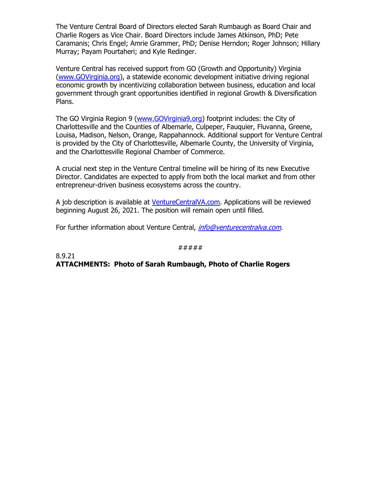The Venture Central Board of Directors elected Sarah Rumbaugh as Board Chair and Charlie Rogers as Vice Chair. Board Directors include James Atkinson, PhD; Pete Caramanis; Chris Engel; Amrie Grammer, PhD; Denise Herndon; Roger Johnson; Hillary Murray; Payam Pourtaheri; and Kyle Redinger.

Venture Central has received support from GO (Growth and Opportunity) Virginia [\(www.GOVirginia.org\)](http://www.govirginia.org/), a statewide economic development initiative driving regional economic growth by incentivizing collaboration between business, education and local government through grant opportunities identified in regional Growth & Diversification Plans.

The GO Virginia Region 9 [\(www.GOVirginia9.org\)](http://www.govirginia9.org/) footprint includes: the City of Charlottesville and the Counties of Albemarle, Culpeper, Fauquier, Fluvanna, Greene, Louisa, Madison, Nelson, Orange, Rappahannock. Additional support for Venture Central is provided by the City of Charlottesville, Albemarle County, the University of Virginia, and the Charlottesville Regional Chamber of Commerce.

A crucial next step in the Venture Central timeline will be hiring of its new Executive Director. Candidates are expected to apply from both the local market and from other entrepreneur-driven business ecosystems across the country.

A job description is available at [VentureCentralVA.com.](http://www.venturecentralva.com/) Applications will be reviewed beginning August 26, 2021. The position will remain open until filled.

For further information about Venture Central, *[info@venturecentralva.com.](https://myuva-my.sharepoint.com/personal/dmh7w_virginia_edu/Documents/Venture%20Central/Board%20of%20Directors/2021.8.6%20Meeting/info@venturecentralva.com)* 

## #####

8.9.21 **ATTACHMENTS: Photo of Sarah Rumbaugh, Photo of Charlie Rogers**